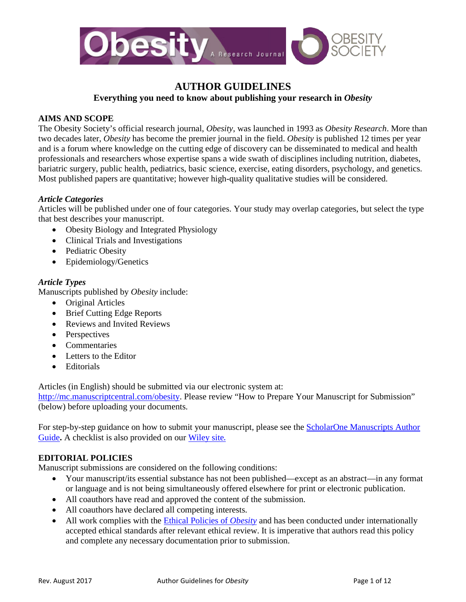

# **AUTHOR GUIDELINES**

**Everything you need to know about publishing your research in** *Obesity*

# **AIMS AND SCOPE**

The Obesity Society's official research journal, *Obesity*, was launched in 1993 as *Obesity Research*. More than two decades later, *Obesity* has become the premier journal in the field. *Obesity* is published 12 times per year and is a forum where knowledge on the cutting edge of discovery can be disseminated to medical and health professionals and researchers whose expertise spans a wide swath of disciplines including nutrition, diabetes, bariatric surgery, public health, pediatrics, basic science, exercise, eating disorders, psychology, and genetics. Most published papers are quantitative; however high-quality qualitative studies will be considered.

# *Article Categories*

Articles will be published under one of four categories. Your study may overlap categories, but select the type that best describes your manuscript.

- Obesity Biology and Integrated Physiology
- Clinical Trials and Investigations
- Pediatric Obesity
- Epidemiology/Genetics

# *Article Types*

Manuscripts published by *Obesity* include:

- Original Articles
- Brief Cutting Edge Reports
- Reviews and Invited Reviews
- Perspectives
- Commentaries
- Letters to the Editor
- Editorials

Articles (in English) should be submitted via our electronic system at:

[http://mc.manuscriptcentral.com/obesity.](http://mc.manuscriptcentral.com/obesity) Please review "How to Prepare Your Manuscript for Submission" (below) before uploading your documents.

For step-by-step guidance on how to submit your manuscript, please see the [ScholarOne Manuscripts Author](http://mchelp.manuscriptcentral.com/gethelpnow/tutorials/author.pdf)  [Guide](http://mchelp.manuscriptcentral.com/gethelpnow/tutorials/author.pdf)**.** A checklist is also provided on our [Wiley site](http://onlinelibrary.wiley.com/journal/10.1002/(ISSN)1930-739X/homepage/ForAuthors.html).

# **EDITORIAL POLICIES**

Manuscript submissions are considered on the following conditions:

- Your manuscript/its essential substance has not been published—except as an abstract—in any format or language and is not being simultaneously offered elsewhere for print or electronic publication.
- All coauthors have read and approved the content of the submission.
- All coauthors have declared all competing interests.
- All work complies with the **Ethical Policies of** *Obesity* and has been conducted under internationally accepted ethical standards after relevant ethical review. It is imperative that authors read this policy and complete any necessary documentation prior to submission.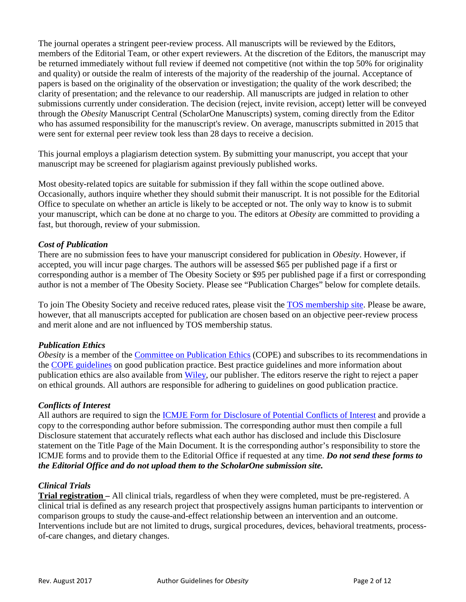The journal operates a stringent peer-review process. All manuscripts will be reviewed by the Editors, members of the Editorial Team, or other expert reviewers. At the discretion of the Editors, the manuscript may be returned immediately without full review if deemed not competitive (not within the top 50% for originality and quality) or outside the realm of interests of the majority of the readership of the journal. Acceptance of papers is based on the originality of the observation or investigation; the quality of the work described; the clarity of presentation; and the relevance to our readership. All manuscripts are judged in relation to other submissions currently under consideration. The decision (reject, invite revision, accept) letter will be conveyed through the *Obesity* Manuscript Central (ScholarOne Manuscripts) system, coming directly from the Editor who has assumed responsibility for the manuscript's review. On average, manuscripts submitted in 2015 that were sent for external peer review took less than 28 days to receive a decision.

This journal employs a plagiarism detection system. By submitting your manuscript, you accept that your manuscript may be screened for plagiarism against previously published works.

Most obesity-related topics are suitable for submission if they fall within the scope outlined above. Occasionally, authors inquire whether they should submit their manuscript. It is not possible for the Editorial Office to speculate on whether an article is likely to be accepted or not. The only way to know is to submit your manuscript, which can be done at no charge to you. The editors at *Obesity* are committed to providing a fast, but thorough, review of your submission.

### *Cost of Publication*

There are no submission fees to have your manuscript considered for publication in *Obesity*. However, if accepted, you will incur page charges. The authors will be assessed \$65 per published page if a first or corresponding author is a member of The Obesity Society or \$95 per published page if a first or corresponding author is not a member of The Obesity Society. Please see "Publication Charges" below for complete details.

To join The Obesity Society and receive reduced rates, please visit the [TOS membership site.](http://www.obesity.org/membership) Please be aware, however, that all manuscripts accepted for publication are chosen based on an objective peer-review process and merit alone and are not influenced by TOS membership status.

### *Publication Ethics*

*Obesity* is a member of the [Committee on Publication Ethics](http://publicationethics.org/) (COPE) and subscribes to its recommendations in the COPE [guidelines](http://publicationethics.org/resources/guidelines) on good publication practice. Best practice guidelines and more information about publication ethics are also available from [Wiley,](http://exchanges.wiley.com/publishing-ethics_252.html) our publisher. The editors reserve the right to reject a paper on ethical grounds. All authors are responsible for adhering to guidelines on good publication practice.

### *Conflicts of Interest*

All authors are required to sign the [ICMJE Form for Disclosure of Potential Conflicts of Interest](http://www.icmje.org/conflicts-of-interest/) and provide a copy to the corresponding author before submission. The corresponding author must then compile a full Disclosure statement that accurately reflects what each author has disclosed and include this Disclosure statement on the Title Page of the Main Document. It is the corresponding author's responsibility to store the ICMJE forms and to provide them to the Editorial Office if requested at any time. *Do not send these forms to the Editorial Office and do not upload them to the ScholarOne submission site.* 

### *Clinical Trials*

**Trial registration –** All clinical trials, regardless of when they were completed, must be pre-registered. A clinical trial is defined as any research project that prospectively assigns human participants to intervention or comparison groups to study the cause-and-effect relationship between an intervention and an outcome. Interventions include but are not limited to drugs, surgical procedures, devices, behavioral treatments, processof-care changes, and dietary changes.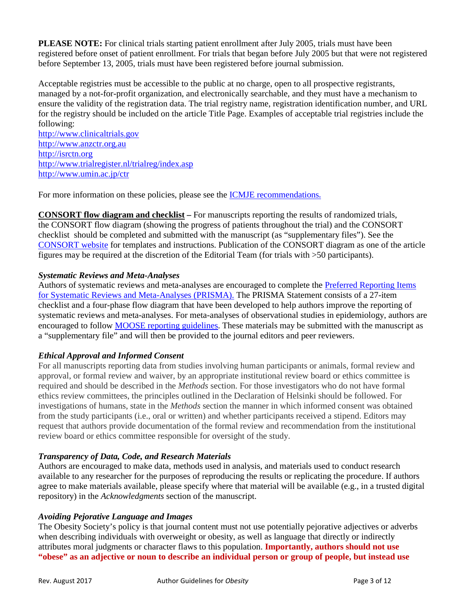**PLEASE NOTE:** For clinical trials starting patient enrollment after July 2005, trials must have been registered before onset of patient enrollment. For trials that began before July 2005 but that were not registered before September 13, 2005, trials must have been registered before journal submission.

Acceptable registries must be accessible to the public at no charge, open to all prospective registrants, managed by a not-for-profit organization, and electronically searchable, and they must have a mechanism to ensure the validity of the registration data. The trial registry name, registration identification number, and URL for the registry should be included on the article Title Page. Examples of acceptable trial registries include the following:

[http://www.clinicaltrials.gov](http://www.clinicaltrials.gov/) [http://www.anzctr.org.au](http://www.actr.org.au/) [http://isrctn.org](http://isrctn.org/) <http://www.trialregister.nl/trialreg/index.asp> <http://www.umin.ac.jp/ctr>

For more information on these policies, please see the [ICMJE recommendations](http://www.icmje.org/about-icmje/faqs/clinical-trials-registration/).

**CONSORT flow diagram and checklist –** For manuscripts reporting the results of randomized trials, the CONSORT flow diagram (showing the progress of patients throughout the trial) and the CONSORT checklist should be completed and submitted with the manuscript (as "supplementary files"). See the [CONSORT website](http://www.consort-statement.org/) for templates and instructions. Publication of the CONSORT diagram as one of the article figures may be required at the discretion of the Editorial Team (for trials with >50 participants).

# *Systematic Reviews and Meta-Analyses*

Authors of systematic reviews and meta-analyses are encouraged to complete the [Preferred Reporting Items](http://prisma-statement.org/)  [for Systematic Reviews and Meta-Analyses \(PRISMA\).](http://prisma-statement.org/) The PRISMA Statement consists of a 27-item checklist and a four-phase flow diagram that have been developed to help authors improve the reporting of systematic reviews and meta-analyses. For meta-analyses of observational studies in epidemiology, authors are encouraged to follow **MOOSE** reporting guidelines. These materials may be submitted with the manuscript as a "supplementary file" and will then be provided to the journal editors and peer reviewers.

# *Ethical Approval and Informed Consent*

For all manuscripts reporting data from studies involving human participants or animals, formal review and approval, or formal review and waiver, by an appropriate institutional review board or ethics committee is required and should be described in the *Methods* section. For those investigators who do not have formal ethics review committees, the principles outlined in the Declaration of Helsinki should be followed. For investigations of humans, state in the *Methods* section the manner in which informed consent was obtained from the study participants (i.e., oral or written) and whether participants received a stipend. Editors may request that authors provide documentation of the formal review and recommendation from the institutional review board or ethics committee responsible for oversight of the study.

# *Transparency of Data, Code, and Research Materials*

Authors are encouraged to make data, methods used in analysis, and materials used to conduct research available to any researcher for the purposes of reproducing the results or replicating the procedure. If authors agree to make materials available, please specify where that material will be available (e.g., in a trusted digital repository) in the *Acknowledgments* section of the manuscript.

# *Avoiding Pejorative Language and Images*

The Obesity Society's policy is that journal content must not use potentially pejorative adjectives or adverbs when describing individuals with overweight or obesity, as well as language that directly or indirectly attributes moral judgments or character flaws to this population. **Importantly, authors should not use "obese" as an adjective or noun to describe an individual person or group of people, but instead use**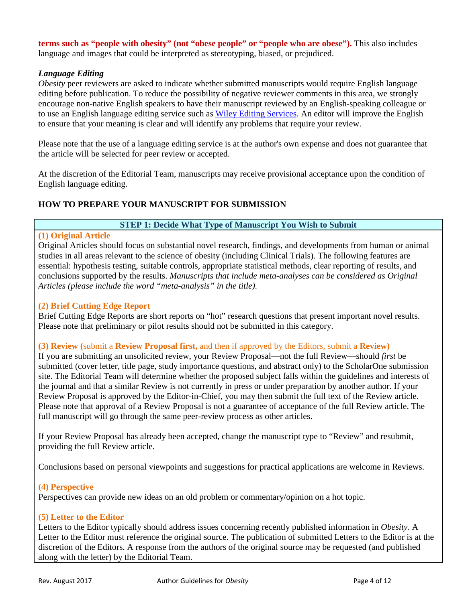**terms such as "people with obesity" (not "obese people" or "people who are obese").** This also includes language and images that could be interpreted as stereotyping, biased, or prejudiced.

# *Language Editing*

*Obesity* peer reviewers are asked to indicate whether submitted manuscripts would require English language editing before publication. To reduce the possibility of negative reviewer comments in this area, we strongly encourage non-native English speakers to have their manuscript reviewed by an English-speaking colleague or to use an English language editing service such as [Wiley Editing Services.](http://wileyeditingservices.com/en/) An editor will improve the English to ensure that your meaning is clear and will identify any problems that require your review.

Please note that the use of a language editing service is at the author's own expense and does not guarantee that the article will be selected for peer review or accepted.

At the discretion of the Editorial Team, manuscripts may receive provisional acceptance upon the condition of English language editing.

# **HOW TO PREPARE YOUR MANUSCRIPT FOR SUBMISSION**

# **STEP 1: Decide What Type of Manuscript You Wish to Submit**

# **(1) Original Article**

Original Articles should focus on substantial novel research, findings, and developments from human or animal studies in all areas relevant to the science of obesity (including Clinical Trials). The following features are essential: hypothesis testing, suitable controls, appropriate statistical methods, clear reporting of results, and conclusions supported by the results. *Manuscripts that include meta-analyses can be considered as Original Articles (please include the word "meta-analysis" in the title).*

### **(2) Brief Cutting Edge Report**

Brief Cutting Edge Reports are short reports on "hot" research questions that present important novel results. Please note that preliminary or pilot results should not be submitted in this category.

### **(3) Review (**submit a **Review Proposal first,** and then if approved by the Editors, submit a **Review)**

If you are submitting an unsolicited review, your Review Proposal—not the full Review—should *first* be submitted (cover letter, title page, study importance questions, and abstract only) to the ScholarOne submission site. The Editorial Team will determine whether the proposed subject falls within the guidelines and interests of the journal and that a similar Review is not currently in press or under preparation by another author. If your Review Proposal is approved by the Editor-in-Chief, you may then submit the full text of the Review article. Please note that approval of a Review Proposal is not a guarantee of acceptance of the full Review article. The full manuscript will go through the same peer-review process as other articles.

If your Review Proposal has already been accepted, change the manuscript type to "Review" and resubmit, providing the full Review article.

Conclusions based on personal viewpoints and suggestions for practical applications are welcome in Reviews.

# **(4) Perspective**

Perspectives can provide new ideas on an old problem or commentary/opinion on a hot topic.

### **(5) Letter to the Editor**

Letters to the Editor typically should address issues concerning recently published information in *Obesity*. A Letter to the Editor must reference the original source. The publication of submitted Letters to the Editor is at the discretion of the Editors. A response from the authors of the original source may be requested (and published along with the letter) by the Editorial Team.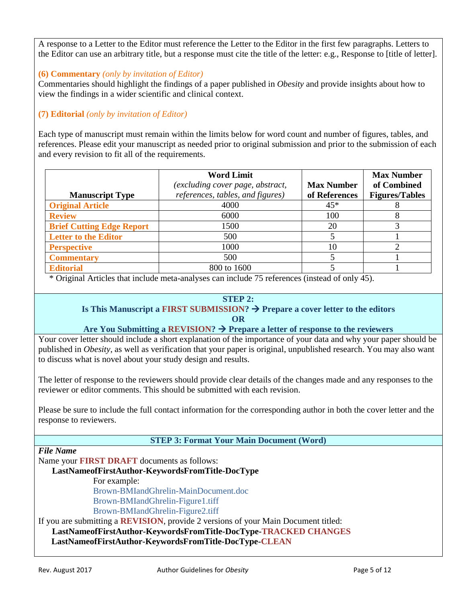A response to a Letter to the Editor must reference the Letter to the Editor in the first few paragraphs. Letters to the Editor can use an arbitrary title, but a response must cite the title of the letter: e.g., Response to [title of letter].

# **(6) Commentary** *(only by invitation of Editor)*

Commentaries should highlight the findings of a paper published in *Obesity* and provide insights about how to view the findings in a wider scientific and clinical context.

# **(7) Editorial** *(only by invitation of Editor)*

Each type of manuscript must remain within the limits below for word count and number of figures, tables, and references. Please edit your manuscript as needed prior to original submission and prior to the submission of each and every revision to fit all of the requirements.

|                                  | <b>Word Limit</b><br>(excluding cover page, abstract, | <b>Max Number</b> | <b>Max Number</b><br>of Combined |
|----------------------------------|-------------------------------------------------------|-------------------|----------------------------------|
| <b>Manuscript Type</b>           | references, tables, and figures)                      | of References     | <b>Figures/Tables</b>            |
| <b>Original Article</b>          | 4000                                                  | $45*$             |                                  |
| <b>Review</b>                    | 6000                                                  | 100               |                                  |
| <b>Brief Cutting Edge Report</b> | 1500                                                  | 20                |                                  |
| <b>Letter to the Editor</b>      | 500                                                   |                   |                                  |
| <b>Perspective</b>               | 1000                                                  | 10                |                                  |
| <b>Commentary</b>                | 500                                                   |                   |                                  |
| <b>Editorial</b>                 | 800 to 1600                                           |                   |                                  |

\* Original Articles that include meta-analyses can include 75 references (instead of only 45).

# **STEP 2:**

### **Is This Manuscript a FIRST SUBMISSION?**  $\rightarrow$  Prepare a cover letter to the editors **OR**

# Are You Submitting a REVISION?  $\rightarrow$  Prepare a letter of response to the reviewers

Your cover letter should include a short explanation of the importance of your data and why your paper should be published in *Obesity*, as well as verification that your paper is original, unpublished research. You may also want to discuss what is novel about your study design and results.

The letter of response to the reviewers should provide clear details of the changes made and any responses to the reviewer or editor comments. This should be submitted with each revision.

Please be sure to include the full contact information for the corresponding author in both the cover letter and the response to reviewers.

# **STEP 3: Format Your Main Document (Word)**

### *File Name*

Name your **FIRST DRAFT** documents as follows:

# **LastNameofFirstAuthor-KeywordsFromTitle-DocType**

For example:

Brown-BMIandGhrelin-MainDocument.doc Brown-BMIandGhrelin-Figure1.tiff Brown-BMIandGhrelin-Figure2.tiff

If you are submitting a **REVISION**, provide 2 versions of your Main Document titled:

**LastNameofFirstAuthor-KeywordsFromTitle-DocType-TRACKED CHANGES**

 **LastNameofFirstAuthor-KeywordsFromTitle-DocType-CLEAN**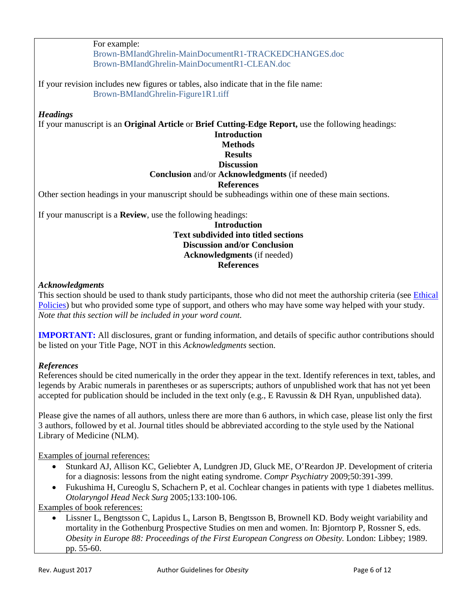For example:

Brown-BMIandGhrelin-MainDocumentR1-TRACKEDCHANGES.doc Brown-BMIandGhrelin-MainDocumentR1-CLEAN.doc

If your revision includes new figures or tables, also indicate that in the file name: Brown-BMIandGhrelin-Figure1R1.tiff

# *Headings*

If your manuscript is an **Original Article** or **Brief Cutting-Edge Report,** use the following headings:

# **Introduction**

# **Methods**

#### **Results Discussion**

# **Conclusion** and/or **Acknowledgments** (if needed)

# **References**

Other section headings in your manuscript should be subheadings within one of these main sections.

If your manuscript is a **Review**, use the following headings:

### **Introduction Text subdivided into titled sections Discussion and/or Conclusion Acknowledgments** (if needed) **References**

### *Acknowledgments*

This section should be used to thank study participants, those who did not meet the authorship criteria (see *Ethical* [Policies\)](http://onlinelibrary.wiley.com/journal/10.1002/(ISSN)1930-739X/homepage/ForAuthors.html) but who provided some type of support, and others who may have some way helped with your study. *Note that this section will be included in your word count.*

**IMPORTANT:** All disclosures, grant or funding information, and details of specific author contributions should be listed on your Title Page, NOT in this *Acknowledgments* section.

# *References*

References should be cited numerically in the order they appear in the text. Identify references in text, tables, and legends by Arabic numerals in parentheses or as superscripts; authors of unpublished work that has not yet been accepted for publication should be included in the text only (e.g., E Ravussin & DH Ryan, unpublished data).

Please give the names of all authors, unless there are more than 6 authors, in which case, please list only the first 3 authors, followed by et al. Journal titles should be abbreviated according to the style used by the National Library of Medicine (NLM).

Examples of journal references:

- Stunkard AJ, Allison KC, Geliebter A, Lundgren JD, Gluck ME, O'Reardon JP. Development of criteria for a diagnosis: lessons from the night eating syndrome. *Compr Psychiatry* 2009;50:391-399.
- Fukushima H, Cureoglu S, Schachern P, et al. Cochlear changes in patients with type 1 diabetes mellitus. *Otolaryngol Head Neck Surg* 2005;133:100-106.

Examples of book references:

• Lissner L, Bengtsson C, Lapidus L, Larson B, Bengtsson B, Brownell KD. Body weight variability and mortality in the Gothenburg Prospective Studies on men and women. In: Bjorntorp P, Rossner S, eds. *Obesity in Europe 88: Proceedings of the First European Congress on Obesity.* London: Libbey; 1989. pp. 55-60.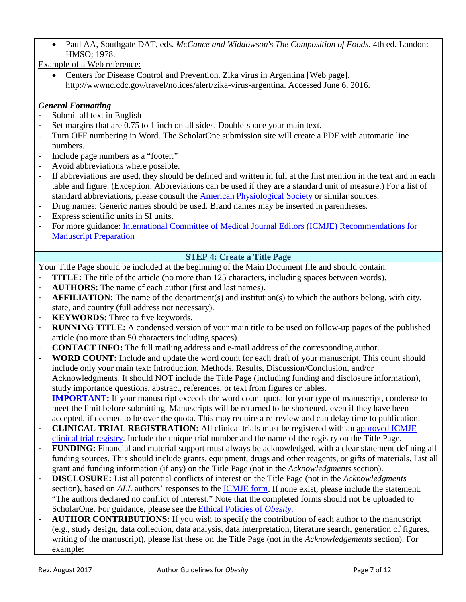• Paul AA, Southgate DAT, eds. *McCance and Widdowson's The Composition of Foods.* 4th ed. London: HMSO; 1978.

Example of a Web reference:

• Centers for Disease Control and Prevention. Zika virus in Argentina [Web page]. http://wwwnc.cdc.gov/travel/notices/alert/zika-virus-argentina. Accessed June 6, 2016.

# *General Formatting*

- Submit all text in English
- Set margins that are 0.75 to 1 inch on all sides. Double-space your main text.
- Turn OFF numbering in Word. The ScholarOne submission site will create a PDF with automatic line numbers.
- Include page numbers as a "footer."
- Avoid abbreviations where possible.
- If abbreviations are used, they should be defined and written in full at the first mention in the text and in each table and figure. (Exception: Abbreviations can be used if they are a standard unit of measure.) For a list of standard abbreviations, please consult the [American Physiological Society](http://www.the-aps.org/mm/Publications/Info-For-Authors/Formatting/Abbreviations.pdf) or similar sources.
- Drug names: Generic names should be used. Brand names may be inserted in parentheses.
- Express scientific units in SI units.
- For more guidance: [International Committee of Medical Journal Editors \(ICMJE\) Recommendations for](http://www.icmje.org/recommendations/browse/manuscript-preparation/)  [Manuscript Preparation](http://www.icmje.org/recommendations/browse/manuscript-preparation/)

# **STEP 4: Create a Title Page**

Your Title Page should be included at the beginning of the Main Document file and should contain:

- **TITLE:** The title of the article (no more than 125 characters, including spaces between words).
- AUTHORS: The name of each author (first and last names).
- **AFFILIATION:** The name of the department(s) and institution(s) to which the authors belong, with city, state, and country (full address not necessary).
- **KEYWORDS:** Three to five keywords.
- **RUNNING TITLE:** A condensed version of your main title to be used on follow-up pages of the published article (no more than 50 characters including spaces).
- **CONTACT INFO:** The full mailing address and e-mail address of the corresponding author.
- **WORD COUNT:** Include and update the word count for each draft of your manuscript. This count should include only your main text: Introduction, Methods, Results, Discussion/Conclusion, and/or Acknowledgments. It should NOT include the Title Page (including funding and disclosure information), study importance questions, abstract, references, or text from figures or tables. **IMPORTANT:** If your manuscript exceeds the word count quota for your type of manuscript, condense to

meet the limit before submitting. Manuscripts will be returned to be shortened, even if they have been accepted, if deemed to be over the quota. This may require a re-review and can delay time to publication.

- **CLINICAL TRIAL REGISTRATION:** All clinical trials must be registered with an [approved ICMJE](http://www.icmje.org/about-icmje/faqs/clinical-trials-registration/)  [clinical trial registry.](http://www.icmje.org/about-icmje/faqs/clinical-trials-registration/) Include the unique trial number and the name of the registry on the Title Page.
- **FUNDING:** Financial and material support must always be acknowledged, with a clear statement defining all funding sources. This should include grants, equipment, drugs and other reagents, or gifts of materials. List all grant and funding information (if any) on the Title Page (not in the *Acknowledgments* section).
- **DISCLOSURE:** List all potential conflicts of interest on the Title Page (not in the *Acknowledgments* section), based on *ALL* authors' responses to the [ICMJE form.](http://www.icmje.org/conflicts-of-interest/) If none exist, please include the statement: "The authors declared no conflict of interest." Note that the completed forms should not be uploaded to ScholarOne. For guidance, please see the [Ethical Policies of](http://onlinelibrary.wiley.com/journal/10.1002/(ISSN)1930-739X/homepage/ForAuthors.html) *Obesity.*
- **AUTHOR CONTRIBUTIONS:** If you wish to specify the contribution of each author to the manuscript (e.g., study design, data collection, data analysis, data interpretation, literature search, generation of figures, writing of the manuscript), please list these on the Title Page (not in the *Acknowledgements* section). For example: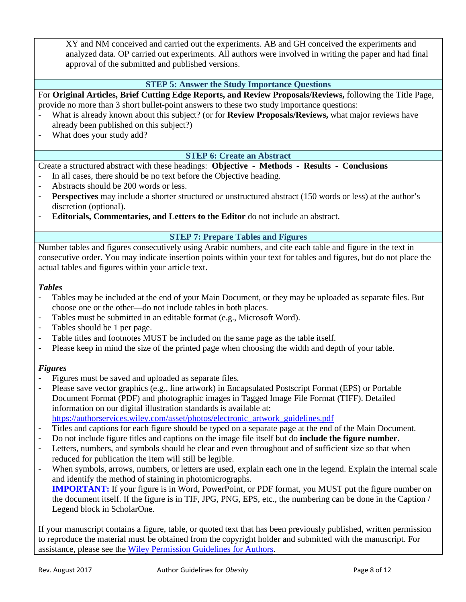XY and NM conceived and carried out the experiments. AB and GH conceived the experiments and analyzed data. OP carried out experiments. All authors were involved in writing the paper and had final approval of the submitted and published versions.

# **STEP 5: Answer the Study Importance Questions**

For **Original Articles, Brief Cutting Edge Reports, and Review Proposals/Reviews,** following the Title Page, provide no more than 3 short bullet-point answers to these two study importance questions:

- What is already known about this subject? (or for **Review Proposals/Reviews,** what major reviews have already been published on this subject?)
- What does your study add?

# **STEP 6: Create an Abstract**

Create a structured abstract with these headings: **Objective - Methods - Results - Conclusions**

- In all cases, there should be no text before the Objective heading.
- Abstracts should be 200 words or less.
- **Perspectives** may include a shorter structured *or* unstructured abstract (150 words or less) at the author's discretion (optional).
- **Editorials, Commentaries, and Letters to the Editor** do not include an abstract.

### **STEP 7: Prepare Tables and Figures**

Number tables and figures consecutively using Arabic numbers, and cite each table and figure in the text in consecutive order. You may indicate insertion points within your text for tables and figures, but do not place the actual tables and figures within your article text.

### *Tables*

- Tables may be included at the end of your Main Document, or they may be uploaded as separate files. But choose one or the other—do not include tables in both places.
- Tables must be submitted in an editable format (e.g., Microsoft Word).
- Tables should be 1 per page.
- Table titles and footnotes MUST be included on the same page as the table itself.
- Please keep in mind the size of the printed page when choosing the width and depth of your table.

# *Figures*

- Figures must be saved and uploaded as separate files.
- Please save vector graphics (e.g., line artwork) in Encapsulated Postscript Format (EPS) or Portable Document Format (PDF) and photographic images in Tagged Image File Format (TIFF). Detailed information on our digital illustration standards is available at: [https://authorservices.wiley.com/asset/photos/electronic\\_artwork\\_guidelines.pdf](https://authorservices.wiley.com/asset/photos/electronic_artwork_guidelines.pdf)
- Titles and captions for each figure should be typed on a separate page at the end of the Main Document.
- Do not include figure titles and captions on the image file itself but do **include the figure number.**
- Letters, numbers, and symbols should be clear and even throughout and of sufficient size so that when reduced for publication the item will still be legible.
- When symbols, arrows, numbers, or letters are used, explain each one in the legend. Explain the internal scale and identify the method of staining in photomicrographs.

**IMPORTANT:** If your figure is in Word, PowerPoint, or PDF format, you MUST put the figure number on the document itself. If the figure is in TIF, JPG, PNG, EPS, etc., the numbering can be done in the Caption / Legend block in ScholarOne.

If your manuscript contains a figure, table, or quoted text that has been previously published, written permission to reproduce the material must be obtained from the copyright holder and submitted with the manuscript. For assistance, please see the [Wiley Permission Guidelines for Authors.](https://authorservices.wiley.com/asset/photos/licensing-and-open-access-photos/Journal-Permissions-8-April-2016.pdf)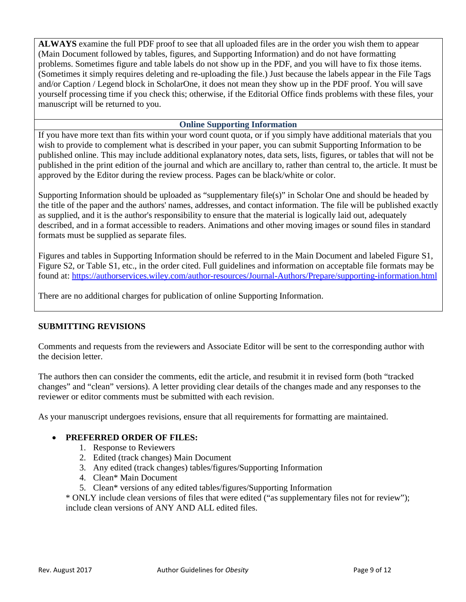**ALWAYS** examine the full PDF proof to see that all uploaded files are in the order you wish them to appear (Main Document followed by tables, figures, and Supporting Information) and do not have formatting problems. Sometimes figure and table labels do not show up in the PDF, and you will have to fix those items. (Sometimes it simply requires deleting and re-uploading the file.) Just because the labels appear in the File Tags and/or Caption / Legend block in ScholarOne, it does not mean they show up in the PDF proof. You will save yourself processing time if you check this; otherwise, if the Editorial Office finds problems with these files, your manuscript will be returned to you.

### **Online Supporting Information**

If you have more text than fits within your word count quota, or if you simply have additional materials that you wish to provide to complement what is described in your paper, you can submit Supporting Information to be published online. This may include additional explanatory notes, data sets, lists, figures, or tables that will not be published in the print edition of the journal and which are ancillary to, rather than central to, the article. It must be approved by the Editor during the review process. Pages can be black/white or color.

Supporting Information should be uploaded as "supplementary file(s)" in Scholar One and should be headed by the title of the paper and the authors' names, addresses, and contact information. The file will be published exactly as supplied, and it is the author's responsibility to ensure that the material is logically laid out, adequately described, and in a format accessible to readers. Animations and other moving images or sound files in standard formats must be supplied as separate files.

Figures and tables in Supporting Information should be referred to in the Main Document and labeled Figure S1, Figure S2, or Table S1, etc., in the order cited. Full guidelines and information on acceptable file formats may be found at:<https://authorservices.wiley.com/author-resources/Journal-Authors/Prepare/supporting-information.html>

There are no additional charges for publication of online Supporting Information.

# **SUBMITTING REVISIONS**

Comments and requests from the reviewers and Associate Editor will be sent to the corresponding author with the decision letter.

The authors then can consider the comments, edit the article, and resubmit it in revised form (both "tracked changes" and "clean" versions). A letter providing clear details of the changes made and any responses to the reviewer or editor comments must be submitted with each revision.

As your manuscript undergoes revisions, ensure that all requirements for formatting are maintained.

# • **PREFERRED ORDER OF FILES:**

- 1. Response to Reviewers
- 2. Edited (track changes) Main Document
- 3. Any edited (track changes) tables/figures/Supporting Information
- 4. Clean\* Main Document
- 5. Clean\* versions of any edited tables/figures/Supporting Information

\* ONLY include clean versions of files that were edited ("as supplementary files not for review"); include clean versions of ANY AND ALL edited files.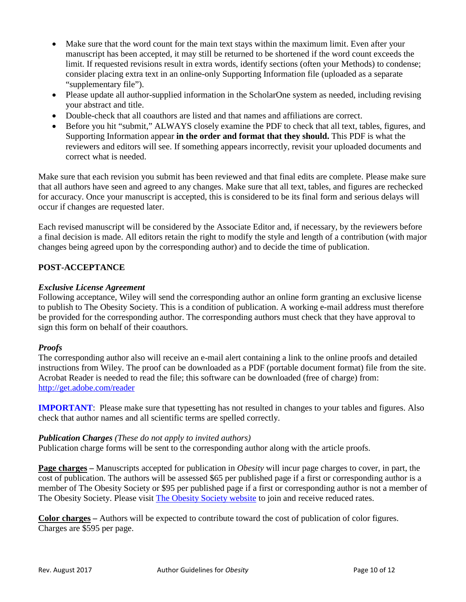- Make sure that the word count for the main text stays within the maximum limit. Even after your manuscript has been accepted, it may still be returned to be shortened if the word count exceeds the limit. If requested revisions result in extra words, identify sections (often your Methods) to condense; consider placing extra text in an online-only Supporting Information file (uploaded as a separate "supplementary file").
- Please update all author-supplied information in the ScholarOne system as needed, including revising your abstract and title.
- Double-check that all coauthors are listed and that names and affiliations are correct.
- Before you hit "submit," ALWAYS closely examine the PDF to check that all text, tables, figures, and Supporting Information appear **in the order and format that they should.** This PDF is what the reviewers and editors will see. If something appears incorrectly, revisit your uploaded documents and correct what is needed.

Make sure that each revision you submit has been reviewed and that final edits are complete. Please make sure that all authors have seen and agreed to any changes. Make sure that all text, tables, and figures are rechecked for accuracy. Once your manuscript is accepted, this is considered to be its final form and serious delays will occur if changes are requested later.

Each revised manuscript will be considered by the Associate Editor and, if necessary, by the reviewers before a final decision is made. All editors retain the right to modify the style and length of a contribution (with major changes being agreed upon by the corresponding author) and to decide the time of publication.

# **POST-ACCEPTANCE**

### *Exclusive License Agreement*

Following acceptance, Wiley will send the corresponding author an online form granting an exclusive license to publish to The Obesity Society. This is a condition of publication. A working e-mail address must therefore be provided for the corresponding author. The corresponding authors must check that they have approval to sign this form on behalf of their coauthors.

# *Proofs*

The corresponding author also will receive an e-mail alert containing a link to the online proofs and detailed instructions from Wiley. The proof can be downloaded as a PDF (portable document format) file from the site. Acrobat Reader is needed to read the file; this software can be downloaded (free of charge) from: <http://get.adobe.com/reader>

**IMPORTANT**: Please make sure that typesetting has not resulted in changes to your tables and figures. Also check that author names and all scientific terms are spelled correctly.

### *Publication Charges (These do not apply to invited authors)*

Publication charge forms will be sent to the corresponding author along with the article proofs.

**Page charges –** Manuscripts accepted for publication in *Obesity* will incur page charges to cover, in part, the cost of publication. The authors will be assessed \$65 per published page if a first or corresponding author is a member of The Obesity Society or \$95 per published page if a first or corresponding author is not a member of The Obesity Society. Please visit [The Obesity Society website](http://www.obesity.org/membership/join.htm) to join and receive reduced rates.

**Color charges –** Authors will be expected to contribute toward the cost of publication of color figures. Charges are \$595 per page.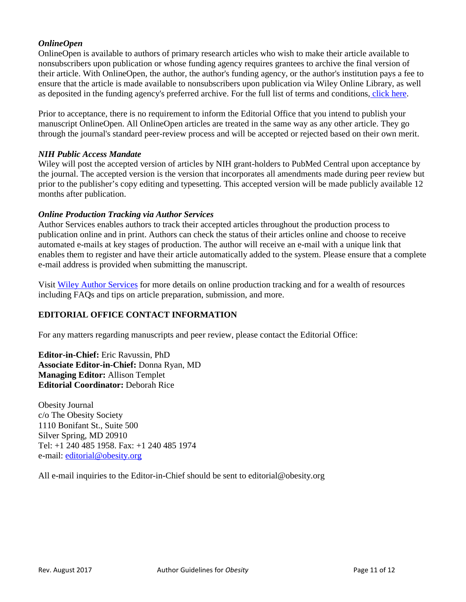# *OnlineOpen*

OnlineOpen is available to authors of primary research articles who wish to make their article available to nonsubscribers upon publication or whose funding agency requires grantees to archive the final version of their article. With OnlineOpen, the author, the author's funding agency, or the author's institution pays a fee to ensure that the article is made available to nonsubscribers upon publication via Wiley Online Library, as well as deposited in the funding agency's preferred archive. For the full list of terms and conditions, [click here.](http://olabout.wiley.com/WileyCDA/Section/id-828081.html)

Prior to acceptance, there is no requirement to inform the Editorial Office that you intend to publish your manuscript OnlineOpen. All OnlineOpen articles are treated in the same way as any other article. They go through the journal's standard peer-review process and will be accepted or rejected based on their own merit.

### *NIH Public Access Mandate*

Wiley will post the accepted version of articles by NIH grant-holders to PubMed Central upon acceptance by the journal. The accepted version is the version that incorporates all amendments made during peer review but prior to the publisher's copy editing and typesetting. This accepted version will be made publicly available 12 months after publication.

### *Online Production Tracking via Author Services*

Author Services enables authors to track their accepted articles throughout the production process to publication online and in print. Authors can check the status of their articles online and choose to receive automated e-mails at key stages of production. The author will receive an e-mail with a unique link that enables them to register and have their article automatically added to the system. Please ensure that a complete e-mail address is provided when submitting the manuscript.

Visit [Wiley Author Services](http://authorservices.wiley.com/bauthor) for more details on online production tracking and for a wealth of resources including FAQs and tips on article preparation, submission, and more.

# **EDITORIAL OFFICE CONTACT INFORMATION**

For any matters regarding manuscripts and peer review, please contact the Editorial Office:

**Editor-in-Chief:** Eric Ravussin, PhD **Associate Editor-in-Chief:** Donna Ryan, MD **Managing Editor:** Allison Templet **Editorial Coordinator:** Deborah Rice

Obesity Journal c/o The Obesity Society 1110 Bonifant St., Suite 500 Silver Spring, MD 20910 Tel: +1 240 485 1958. Fax: +1 240 485 1974 e-mail: [editorial@obesity.org](mailto:editorial@obesity.org) 

All e-mail inquiries to the Editor-in-Chief should be sent to editorial@obesity.org